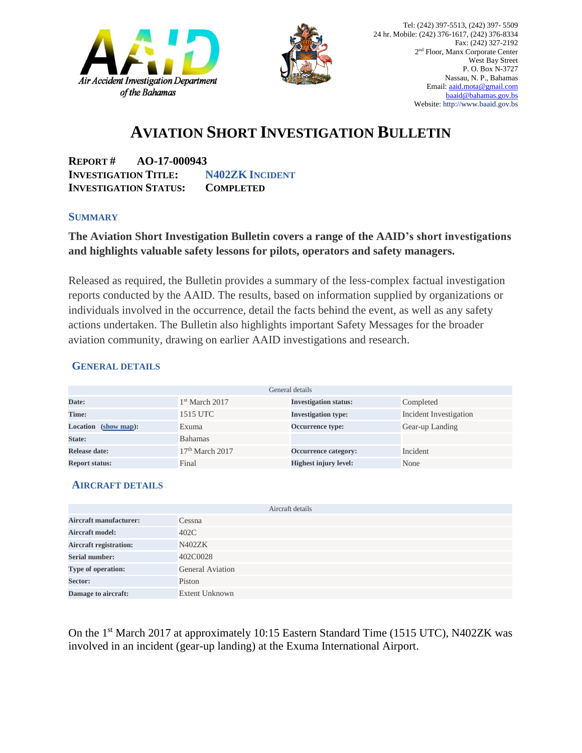



## **AVIATION SHORT INVESTIGATION BULLETIN**

**REPORT # AO-17-000943 INVESTIGATION TITLE: N402ZK INCIDENT INVESTIGATION STATUS: COMPLETED**

#### **SUMMARY**

### **The Aviation Short Investigation Bulletin covers a range of the AAID's short investigations and highlights valuable safety lessons for pilots, operators and safety managers.**

Released as required, the Bulletin provides a summary of the less-complex factual investigation reports conducted by the AAID. The results, based on information supplied by organizations or individuals involved in the occurrence, detail the facts behind the event, as well as any safety actions undertaken. The Bulletin also highlights important Safety Messages for the broader aviation community, drawing on earlier AAID investigations and research.

### **GENERAL DETAILS**

| General details                |                            |                              |                        |
|--------------------------------|----------------------------|------------------------------|------------------------|
| Date:                          | 1 <sup>st</sup> March 2017 | <b>Investigation status:</b> | Completed              |
| Time:                          | 1515 UTC                   | <b>Investigation type:</b>   | Incident Investigation |
| <b>Location</b><br>(show map): | Exuma                      | Occurrence type:             | Gear-up Landing        |
| State:                         | <b>Bahamas</b>             |                              |                        |
| Release date:                  | $17th$ March 2017          | Occurrence category:         | Incident               |
| <b>Report status:</b>          | Final                      | <b>Highest injury level:</b> | None                   |

### **AIRCRAFT DETAILS**

|                               | Aircraft details        |
|-------------------------------|-------------------------|
| <b>Aircraft manufacturer:</b> | Cessna                  |
| <b>Aircraft model:</b>        | 402C                    |
| <b>Aircraft registration:</b> | N402ZK                  |
| <b>Serial number:</b>         | 402C0028                |
| Type of operation:            | <b>General Aviation</b> |
| Sector:                       | Piston                  |
| Damage to aircraft:           | <b>Extent Unknown</b>   |

On the 1<sup>st</sup> March 2017 at approximately 10:15 Eastern Standard Time (1515 UTC), N402ZK was involved in an incident (gear-up landing) at the Exuma International Airport.